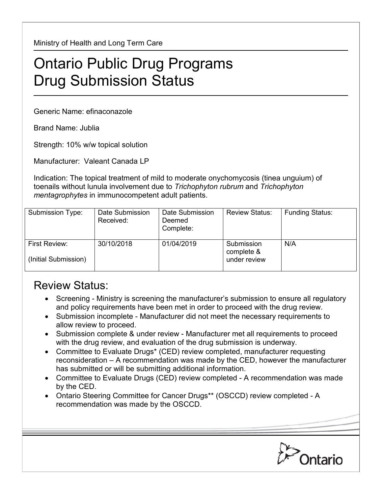Ministry of Health and Long Term Care

## Ontario Public Drug Programs Drug Submission Status

Generic Name: efinaconazole

Brand Name: Jublia

Strength: 10% w/w topical solution

Manufacturer: Valeant Canada LP

Indication: The topical treatment of mild to moderate onychomycosis (tinea unguium) of toenails without lunula involvement due to *Trichophyton rubrum* and *Trichophyton mentagrophytes* in immunocompetent adult patients.

| Submission Type:                      | Date Submission<br>Received: | Date Submission<br>Deemed<br>Complete: | <b>Review Status:</b>                    | <b>Funding Status:</b> |
|---------------------------------------|------------------------------|----------------------------------------|------------------------------------------|------------------------|
| First Review:<br>(Initial Submission) | 30/10/2018                   | 01/04/2019                             | Submission<br>complete &<br>under review | N/A                    |

## Review Status:

- Screening Ministry is screening the manufacturer's submission to ensure all regulatory and policy requirements have been met in order to proceed with the drug review.
- Submission incomplete Manufacturer did not meet the necessary requirements to allow review to proceed.
- Submission complete & under review Manufacturer met all requirements to proceed with the drug review, and evaluation of the drug submission is underway.
- Committee to Evaluate Drugs\* (CED) review completed, manufacturer requesting reconsideration – A recommendation was made by the CED, however the manufacturer has submitted or will be submitting additional information.
- Committee to Evaluate Drugs (CED) review completed A recommendation was made by the CED.
- Ontario Steering Committee for Cancer Drugs\*\* (OSCCD) review completed A recommendation was made by the OSCCD.